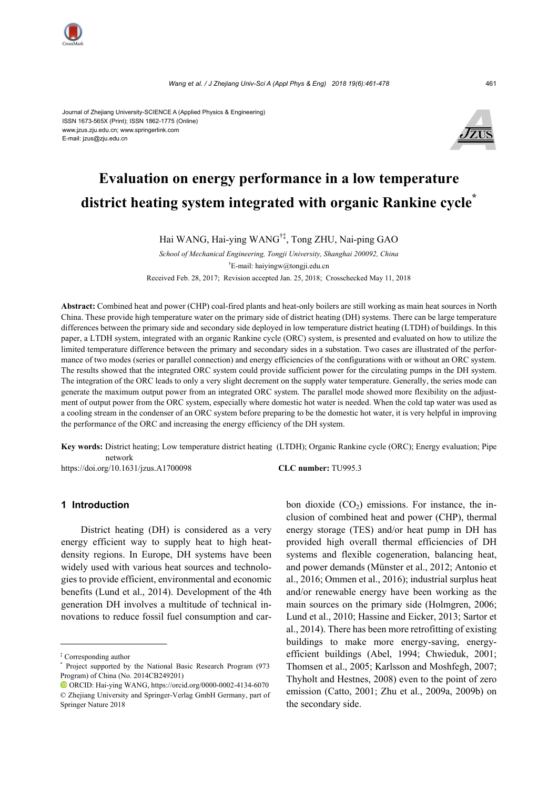

Journal of Zhejiang University-SCIENCE A (Applied Physics & Engineering) ISSN 1673-565X (Print); ISSN 1862-1775 (Online) www.jzus.zju.edu.cn; www.springerlink.com E-mail: jzus@zju.edu.cn



# **Evaluation on energy performance in a low temperature district heating system integrated with organic Rankine cycle\***

Hai WANG, Hai-ying WANG†‡, Tong ZHU, Nai-ping GAO

*School of Mechanical Engineering, Tongji University, Shanghai 200092, China* † E-mail: haiyingw@tongji.edu.cn Received Feb. 28, 2017; Revision accepted Jan. 25, 2018; Crosschecked May 11, 2018

**Abstract:** Combined heat and power (CHP) coal-fired plants and heat-only boilers are still working as main heat sources in North China. These provide high temperature water on the primary side of district heating (DH) systems. There can be large temperature differences between the primary side and secondary side deployed in low temperature district heating (LTDH) of buildings. In this paper, a LTDH system, integrated with an organic Rankine cycle (ORC) system, is presented and evaluated on how to utilize the limited temperature difference between the primary and secondary sides in a substation. Two cases are illustrated of the performance of two modes (series or parallel connection) and energy efficiencies of the configurations with or without an ORC system. The results showed that the integrated ORC system could provide sufficient power for the circulating pumps in the DH system. The integration of the ORC leads to only a very slight decrement on the supply water temperature. Generally, the series mode can generate the maximum output power from an integrated ORC system. The parallel mode showed more flexibility on the adjustment of output power from the ORC system, especially where domestic hot water is needed. When the cold tap water was used as a cooling stream in the condenser of an ORC system before preparing to be the domestic hot water, it is very helpful in improving the performance of the ORC and increasing the energy efficiency of the DH system.

**Key words:** District heating; Low temperature district heating (LTDH); Organic Rankine cycle (ORC); Energy evaluation; Pipe network https://doi.org/10.1631/jzus.A1700098 **CLC number:** TU995.3

# **1 Introduction**

District heating (DH) is considered as a very energy efficient way to supply heat to high heatdensity regions. In Europe, DH systems have been widely used with various heat sources and technologies to provide efficient, environmental and economic benefits (Lund et al., 2014). Development of the 4th generation DH involves a multitude of technical innovations to reduce fossil fuel consumption and carbon dioxide  $(CO_2)$  emissions. For instance, the inclusion of combined heat and power (CHP), thermal energy storage (TES) and/or heat pump in DH has provided high overall thermal efficiencies of DH systems and flexible cogeneration, balancing heat, and power demands (Münster et al., 2012; Antonio et al., 2016; Ommen et al., 2016); industrial surplus heat and/or renewable energy have been working as the main sources on the primary side (Holmgren, 2006; Lund et al., 2010; Hassine and Eicker, 2013; Sartor et al., 2014). There has been more retrofitting of existing buildings to make more energy-saving, energyefficient buildings (Abel, 1994; Chwieduk, 2001; Thomsen et al., 2005; Karlsson and Moshfegh, 2007; Thyholt and Hestnes, 2008) even to the point of zero emission (Catto, 2001; Zhu et al., 2009a, 2009b) on the secondary side.

<sup>‡</sup> Corresponding author

<sup>\*</sup> Project supported by the National Basic Research Program (973 Program) of China (No. 2014CB249201)

ORCID: Hai-ying WANG, https://orcid.org/0000-0002-4134-6070 © Zhejiang University and Springer-Verlag GmbH Germany, part of Springer Nature 2018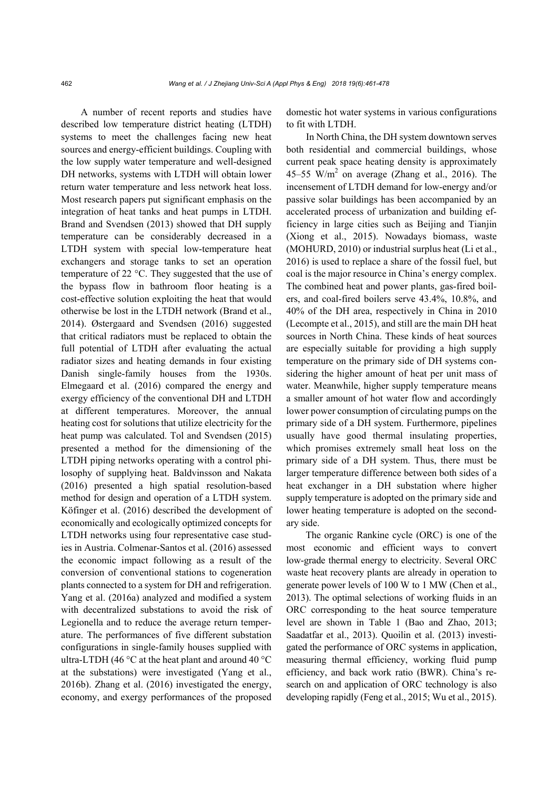A number of recent reports and studies have described low temperature district heating (LTDH) systems to meet the challenges facing new heat sources and energy-efficient buildings. Coupling with the low supply water temperature and well-designed DH networks, systems with LTDH will obtain lower return water temperature and less network heat loss. Most research papers put significant emphasis on the integration of heat tanks and heat pumps in LTDH. Brand and Svendsen (2013) showed that DH supply temperature can be considerably decreased in a LTDH system with special low-temperature heat exchangers and storage tanks to set an operation temperature of 22 °C. They suggested that the use of the bypass flow in bathroom floor heating is a cost-effective solution exploiting the heat that would otherwise be lost in the LTDH network (Brand et al., 2014). Østergaard and Svendsen (2016) suggested that critical radiators must be replaced to obtain the full potential of LTDH after evaluating the actual radiator sizes and heating demands in four existing Danish single-family houses from the 1930s. Elmegaard et al. (2016) compared the energy and exergy efficiency of the conventional DH and LTDH at different temperatures. Moreover, the annual heating cost for solutions that utilize electricity for the heat pump was calculated. Tol and Svendsen (2015) presented a method for the dimensioning of the LTDH piping networks operating with a control philosophy of supplying heat. Baldvinsson and Nakata (2016) presented a high spatial resolution-based method for design and operation of a LTDH system. Köfinger et al. (2016) described the development of economically and ecologically optimized concepts for LTDH networks using four representative case studies in Austria. Colmenar-Santos et al. (2016) assessed the economic impact following as a result of the conversion of conventional stations to cogeneration plants connected to a system for DH and refrigeration. Yang et al. (2016a) analyzed and modified a system with decentralized substations to avoid the risk of Legionella and to reduce the average return temperature. The performances of five different substation configurations in single-family houses supplied with ultra-LTDH (46 $\degree$ C at the heat plant and around 40 $\degree$ C at the substations) were investigated (Yang et al., 2016b). Zhang et al. (2016) investigated the energy, economy, and exergy performances of the proposed domestic hot water systems in various configurations to fit with LTDH.

In North China, the DH system downtown serves both residential and commercial buildings, whose current peak space heating density is approximately 45–55 W/m<sup>2</sup> on average (Zhang et al., 2016). The incensement of LTDH demand for low-energy and/or passive solar buildings has been accompanied by an accelerated process of urbanization and building efficiency in large cities such as Beijing and Tianjin (Xiong et al., 2015). Nowadays biomass, waste (MOHURD, 2010) or industrial surplus heat (Li et al., 2016) is used to replace a share of the fossil fuel, but coal is the major resource in China's energy complex. The combined heat and power plants, gas-fired boilers, and coal-fired boilers serve 43.4%, 10.8%, and 40% of the DH area, respectively in China in 2010 (Lecompte et al., 2015), and still are the main DH heat sources in North China. These kinds of heat sources are especially suitable for providing a high supply temperature on the primary side of DH systems considering the higher amount of heat per unit mass of water. Meanwhile, higher supply temperature means a smaller amount of hot water flow and accordingly lower power consumption of circulating pumps on the primary side of a DH system. Furthermore, pipelines usually have good thermal insulating properties, which promises extremely small heat loss on the primary side of a DH system. Thus, there must be larger temperature difference between both sides of a heat exchanger in a DH substation where higher supply temperature is adopted on the primary side and lower heating temperature is adopted on the secondary side.

The organic Rankine cycle (ORC) is one of the most economic and efficient ways to convert low-grade thermal energy to electricity. Several ORC waste heat recovery plants are already in operation to generate power levels of 100 W to 1 MW (Chen et al., 2013). The optimal selections of working fluids in an ORC corresponding to the heat source temperature level are shown in Table 1 (Bao and Zhao, 2013; Saadatfar et al., 2013). Quoilin et al. (2013) investigated the performance of ORC systems in application, measuring thermal efficiency, working fluid pump efficiency, and back work ratio (BWR). China's research on and application of ORC technology is also developing rapidly (Feng et al., 2015; Wu et al., 2015).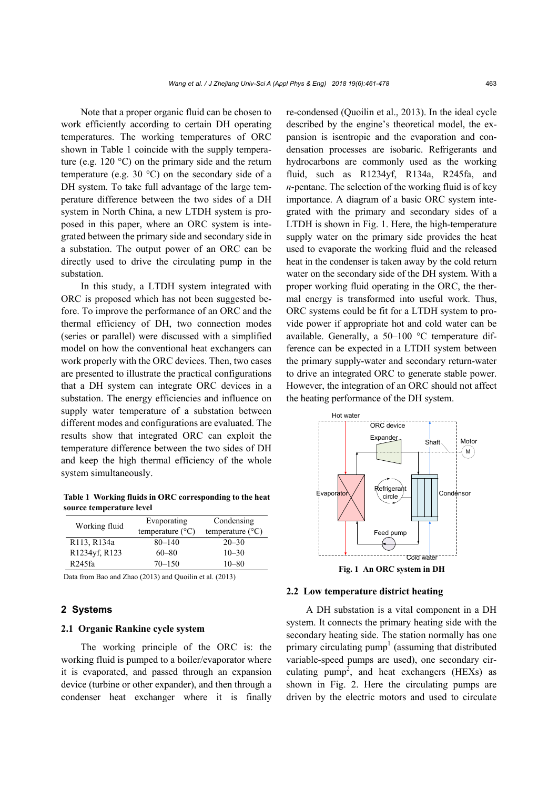Note that a proper organic fluid can be chosen to work efficiently according to certain DH operating temperatures. The working temperatures of ORC shown in Table 1 coincide with the supply temperature (e.g. 120 $\degree$ C) on the primary side and the return temperature (e.g. 30 $\degree$ C) on the secondary side of a DH system. To take full advantage of the large temperature difference between the two sides of a DH system in North China, a new LTDH system is proposed in this paper, where an ORC system is integrated between the primary side and secondary side in a substation. The output power of an ORC can be directly used to drive the circulating pump in the substation.

In this study, a LTDH system integrated with ORC is proposed which has not been suggested before. To improve the performance of an ORC and the thermal efficiency of DH, two connection modes (series or parallel) were discussed with a simplified model on how the conventional heat exchangers can work properly with the ORC devices. Then, two cases are presented to illustrate the practical configurations that a DH system can integrate ORC devices in a substation. The energy efficiencies and influence on supply water temperature of a substation between different modes and configurations are evaluated. The results show that integrated ORC can exploit the temperature difference between the two sides of DH and keep the high thermal efficiency of the whole system simultaneously.

**Table 1 Working fluids in ORC corresponding to the heat source temperature level** 

| Working fluid | Evaporating<br>temperature $(^{\circ}C)$ | Condensing<br>temperature $(^{\circ}C)$ |  |
|---------------|------------------------------------------|-----------------------------------------|--|
| R113, R134a   | $80 - 140$                               | $20 - 30$                               |  |
| R1234yf, R123 | $60 - 80$                                | $10 - 30$                               |  |
| R245fa        | $70 - 150$                               | $10 - 80$                               |  |

Data from Bao and Zhao (2013) and Quoilin et al. (2013)

# **2 Systems**

#### **2.1 Organic Rankine cycle system**

The working principle of the ORC is: the working fluid is pumped to a boiler/evaporator where it is evaporated, and passed through an expansion device (turbine or other expander), and then through a condenser heat exchanger where it is finally re-condensed (Quoilin et al., 2013). In the ideal cycle described by the engine's theoretical model, the expansion is isentropic and the evaporation and condensation processes are isobaric. Refrigerants and hydrocarbons are commonly used as the working fluid, such as R1234yf, R134a, R245fa, and *n*-pentane. The selection of the working fluid is of key importance. A diagram of a basic ORC system integrated with the primary and secondary sides of a LTDH is shown in Fig. 1. Here, the high-temperature supply water on the primary side provides the heat used to evaporate the working fluid and the released heat in the condenser is taken away by the cold return water on the secondary side of the DH system. With a proper working fluid operating in the ORC, the thermal energy is transformed into useful work. Thus, ORC systems could be fit for a LTDH system to provide power if appropriate hot and cold water can be available. Generally, a 50–100 °C temperature difference can be expected in a LTDH system between the primary supply-water and secondary return-water to drive an integrated ORC to generate stable power. However, the integration of an ORC should not affect the heating performance of the DH system.



**Fig. 1 An ORC system in DH** 

#### **2.2 Low temperature district heating**

A DH substation is a vital component in a DH system. It connects the primary heating side with the secondary heating side. The station normally has one primary circulating  $pump<sup>1</sup>$  (assuming that distributed variable-speed pumps are used), one secondary circulating pump<sup>2</sup>, and heat exchangers (HEXs) as shown in Fig. 2. Here the circulating pumps are driven by the electric motors and used to circulate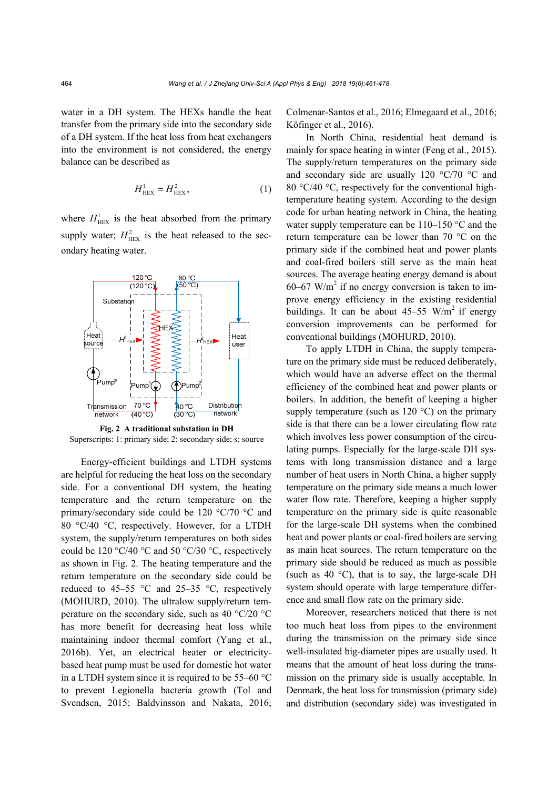water in a DH system. The HEXs handle the heat transfer from the primary side into the secondary side of a DH system. If the heat loss from heat exchangers into the environment is not considered, the energy balance can be described as

$$
H_{\text{HEX}}^1 = H_{\text{HEX}}^2, \tag{1}
$$

where  $H_{\text{HEX}}^1$  is the heat absorbed from the primary supply water;  $H_{\text{HEX}}^2$  is the heat released to the secondary heating water.



**Fig. 2 A traditional substation in DH**  Superscripts: 1: primary side; 2: secondary side; s: source

Energy-efficient buildings and LTDH systems are helpful for reducing the heat loss on the secondary side. For a conventional DH system, the heating temperature and the return temperature on the primary/secondary side could be 120 °C/70 °C and 80 °C/40 °C, respectively. However, for a LTDH system, the supply/return temperatures on both sides could be 120 °C/40 °C and 50 °C/30 °C, respectively as shown in Fig. 2. The heating temperature and the return temperature on the secondary side could be reduced to 45–55  $\degree$ C and 25–35  $\degree$ C, respectively (MOHURD, 2010). The ultralow supply/return temperature on the secondary side, such as 40 °C/20 °C has more benefit for decreasing heat loss while maintaining indoor thermal comfort (Yang et al., 2016b). Yet, an electrical heater or electricitybased heat pump must be used for domestic hot water in a LTDH system since it is required to be 55–60 °C to prevent Legionella bacteria growth (Tol and Svendsen, 2015; Baldvinsson and Nakata, 2016; Colmenar-Santos et al., 2016; Elmegaard et al., 2016; Köfinger et al., 2016).

In North China, residential heat demand is mainly for space heating in winter (Feng et al., 2015). The supply/return temperatures on the primary side and secondary side are usually 120 °C/70 °C and 80 °C/40 °C, respectively for the conventional hightemperature heating system. According to the design code for urban heating network in China, the heating water supply temperature can be 110–150 °C and the return temperature can be lower than 70 °C on the primary side if the combined heat and power plants and coal-fired boilers still serve as the main heat sources. The average heating energy demand is about 60–67 W/m<sup>2</sup> if no energy conversion is taken to improve energy efficiency in the existing residential buildings. It can be about  $45-55$  W/m<sup>2</sup> if energy conversion improvements can be performed for conventional buildings (MOHURD, 2010).

To apply LTDH in China, the supply temperature on the primary side must be reduced deliberately, which would have an adverse effect on the thermal efficiency of the combined heat and power plants or boilers. In addition, the benefit of keeping a higher supply temperature (such as 120 °C) on the primary side is that there can be a lower circulating flow rate which involves less power consumption of the circulating pumps. Especially for the large-scale DH systems with long transmission distance and a large number of heat users in North China, a higher supply temperature on the primary side means a much lower water flow rate. Therefore, keeping a higher supply temperature on the primary side is quite reasonable for the large-scale DH systems when the combined heat and power plants or coal-fired boilers are serving as main heat sources. The return temperature on the primary side should be reduced as much as possible (such as 40 °C), that is to say, the large-scale DH system should operate with large temperature difference and small flow rate on the primary side.

Moreover, researchers noticed that there is not too much heat loss from pipes to the environment during the transmission on the primary side since well-insulated big-diameter pipes are usually used. It means that the amount of heat loss during the transmission on the primary side is usually acceptable. In Denmark, the heat loss for transmission (primary side) and distribution (secondary side) was investigated in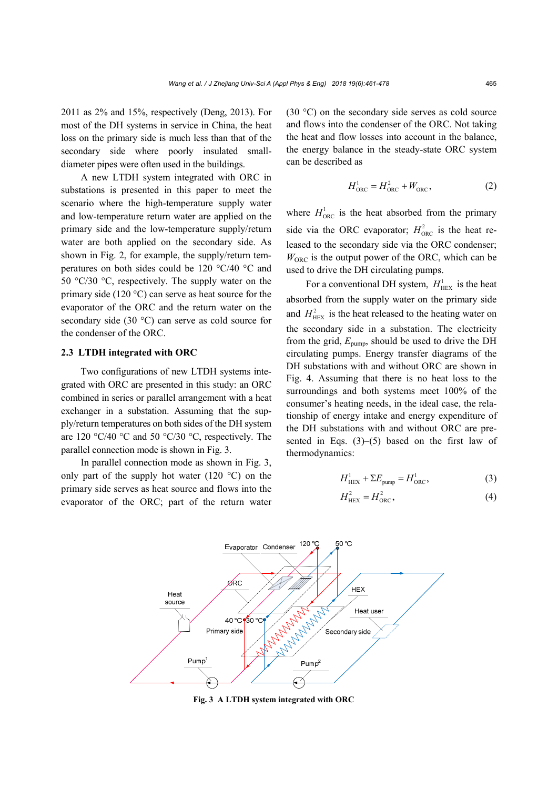2011 as 2% and 15%, respectively (Deng, 2013). For most of the DH systems in service in China, the heat loss on the primary side is much less than that of the secondary side where poorly insulated smalldiameter pipes were often used in the buildings.

A new LTDH system integrated with ORC in substations is presented in this paper to meet the scenario where the high-temperature supply water and low-temperature return water are applied on the primary side and the low-temperature supply/return water are both applied on the secondary side. As shown in Fig. 2, for example, the supply/return temperatures on both sides could be 120 °C/40 °C and 50 °C/30 °C, respectively. The supply water on the primary side (120 °C) can serve as heat source for the evaporator of the ORC and the return water on the secondary side (30 °C) can serve as cold source for the condenser of the ORC.

### **2.3 LTDH integrated with ORC**

Two configurations of new LTDH systems integrated with ORC are presented in this study: an ORC combined in series or parallel arrangement with a heat exchanger in a substation. Assuming that the supply/return temperatures on both sides of the DH system are 120 °C/40 °C and 50 °C/30 °C, respectively. The parallel connection mode is shown in Fig. 3.

In parallel connection mode as shown in Fig. 3, only part of the supply hot water (120  $^{\circ}$ C) on the primary side serves as heat source and flows into the evaporator of the ORC; part of the return water (30 °C) on the secondary side serves as cold source and flows into the condenser of the ORC. Not taking the heat and flow losses into account in the balance, the energy balance in the steady-state ORC system can be described as

$$
H_{\text{ORC}}^1 = H_{\text{ORC}}^2 + W_{\text{ORC}},\tag{2}
$$

where  $H_{\text{ORC}}^1$  is the heat absorbed from the primary side via the ORC evaporator;  $H_{\text{ORC}}^2$  is the heat released to the secondary side via the ORC condenser;  $W<sub>ORC</sub>$  is the output power of the ORC, which can be used to drive the DH circulating pumps.

For a conventional DH system,  $H_{\text{HEX}}^1$  is the heat absorbed from the supply water on the primary side and  $H_{\text{HEX}}^2$  is the heat released to the heating water on the secondary side in a substation. The electricity from the grid,  $E_{\text{pump}}$ , should be used to drive the DH circulating pumps. Energy transfer diagrams of the DH substations with and without ORC are shown in Fig. 4. Assuming that there is no heat loss to the surroundings and both systems meet 100% of the consumer's heating needs, in the ideal case, the relationship of energy intake and energy expenditure of the DH substations with and without ORC are presented in Eqs. (3)–(5) based on the first law of thermodynamics:

$$
H_{\text{HEX}}^1 + \Sigma E_{\text{pump}} = H_{\text{ORC}}^1,\tag{3}
$$

$$
H_{\text{HEX}}^2 = H_{\text{ORC}}^2,\tag{4}
$$



**Fig. 3 A LTDH system integrated with ORC**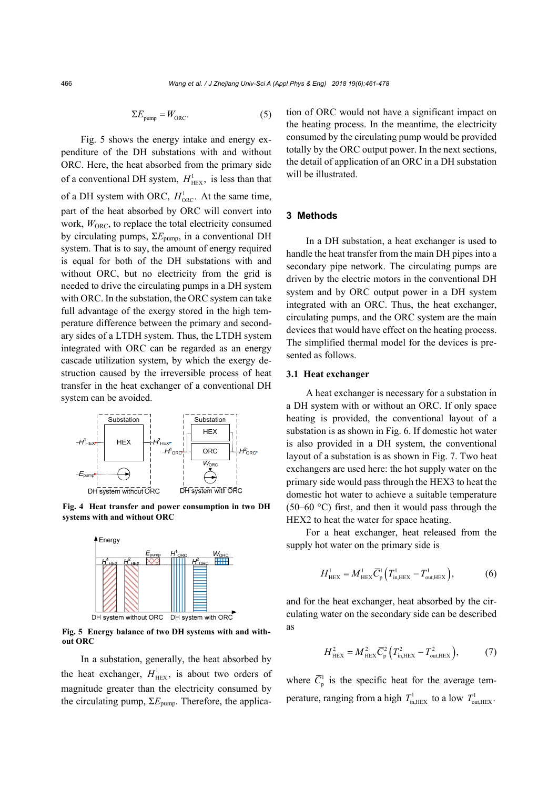466 *Wang et al. / J Zhejiang Univ-Sci A (Appl Phys & Eng) 2018 19(6):461-478*

$$
\Sigma E_{\text{pump}} = W_{\text{ORC}}.\tag{5}
$$

Fig. 5 shows the energy intake and energy expenditure of the DH substations with and without ORC. Here, the heat absorbed from the primary side of a conventional DH system,  $H_{\text{HEX}}^1$ , is less than that of a DH system with ORC,  $H_{\text{ORC}}^1$ . At the same time, part of the heat absorbed by ORC will convert into work,  $W_{ORC}$ , to replace the total electricity consumed by circulating pumps, Σ*E*pump, in a conventional DH system. That is to say, the amount of energy required is equal for both of the DH substations with and without ORC, but no electricity from the grid is needed to drive the circulating pumps in a DH system with ORC. In the substation, the ORC system can take full advantage of the exergy stored in the high temperature difference between the primary and secondary sides of a LTDH system. Thus, the LTDH system integrated with ORC can be regarded as an energy cascade utilization system, by which the exergy destruction caused by the irreversible process of heat transfer in the heat exchanger of a conventional DH system can be avoided.



**Fig. 4 Heat transfer and power consumption in two DH systems with and without ORC** 



**Fig. 5 Energy balance of two DH systems with and without ORC**

In a substation, generally, the heat absorbed by the heat exchanger,  $H_{\text{HEX}}^1$ , is about two orders of magnitude greater than the electricity consumed by the circulating pump, Σ*E*pump. Therefore, the application of ORC would not have a significant impact on the heating process. In the meantime, the electricity consumed by the circulating pump would be provided totally by the ORC output power. In the next sections, the detail of application of an ORC in a DH substation will be illustrated.

# **3 Methods**

In a DH substation, a heat exchanger is used to handle the heat transfer from the main DH pipes into a secondary pipe network. The circulating pumps are driven by the electric motors in the conventional DH system and by ORC output power in a DH system integrated with an ORC. Thus, the heat exchanger, circulating pumps, and the ORC system are the main devices that would have effect on the heating process. The simplified thermal model for the devices is presented as follows.

### **3.1 Heat exchanger**

A heat exchanger is necessary for a substation in a DH system with or without an ORC. If only space heating is provided, the conventional layout of a substation is as shown in Fig. 6. If domestic hot water is also provided in a DH system, the conventional layout of a substation is as shown in Fig. 7. Two heat exchangers are used here: the hot supply water on the primary side would pass through the HEX3 to heat the domestic hot water to achieve a suitable temperature (50–60 °C) first, and then it would pass through the HEX2 to heat the water for space heating.

For a heat exchanger, heat released from the supply hot water on the primary side is

$$
H_{\text{HEX}}^1 = M_{\text{HEX}}^1 \overline{C}_{\text{p}}^1 \left( T_{\text{in,HEX}}^1 - T_{\text{out,HEX}}^1 \right),\tag{6}
$$

and for the heat exchanger, heat absorbed by the circulating water on the secondary side can be described as

$$
H_{\text{HEX}}^2 = M_{\text{HEX}}^2 \overline{C}_{\text{p}}^2 (T_{\text{in,HEX}}^2 - T_{\text{out,HEX}}^2),\tag{7}
$$

where  $\overline{C}_{p}^{1}$  is the specific heat for the average temperature, ranging from a high  $T_{\text{in,HEX}}^1$  to a low  $T_{\text{out,HEX}}^1$ .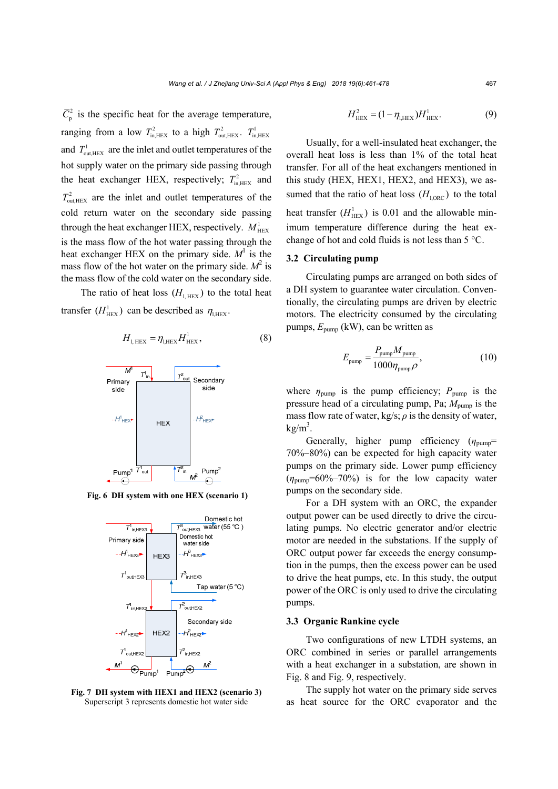$\overline{C}_{p}^{2}$  is the specific heat for the average temperature, ranging from a low  $T_{\text{in,HEX}}^2$  to a high  $T_{\text{out,HEX}}^2$ .  $T_{\text{in,HEX}}^1$ and  $T_{\text{out,HEX}}^1$  are the inlet and outlet temperatures of the hot supply water on the primary side passing through the heat exchanger HEX, respectively;  $T_{\text{in HEX}}^2$  and  $T_{\text{out,HEX}}^2$  are the inlet and outlet temperatures of the cold return water on the secondary side passing through the heat exchanger HEX, respectively.  $M_{\text{HEX}}^1$ is the mass flow of the hot water passing through the heat exchanger HEX on the primary side.  $M<sup>1</sup>$  is the mass flow of the hot water on the primary side.  $M^2$  is the mass flow of the cold water on the secondary side.

The ratio of heat loss  $(H_{\text{HET}})$  to the total heat transfer  $(H_{\text{Hex}}^1)$  can be described as  $\eta_{\text{LHEX}}$ .

$$
H_{\text{l, HEX}} = \eta_{\text{l,HEX}} H_{\text{HEX}}^1,\tag{8}
$$



**Fig. 6 DH system with one HEX (scenario 1)** 



**Fig. 7 DH system with HEX1 and HEX2 (scenario 3)**  Superscript 3 represents domestic hot water side

$$
H_{\text{HEX}}^2 = (1 - \eta_{\text{LHEX}}) H_{\text{HEX}}^1.
$$
 (9)

Usually, for a well-insulated heat exchanger, the overall heat loss is less than 1% of the total heat transfer. For all of the heat exchangers mentioned in this study (HEX, HEX1, HEX2, and HEX3), we assumed that the ratio of heat loss  $(H<sub>LORC</sub>)$  to the total heat transfer  $(H_{\text{HEX}}^1)$  is 0.01 and the allowable minimum temperature difference during the heat exchange of hot and cold fluids is not less than 5 °C.

#### **3.2 Circulating pump**

Circulating pumps are arranged on both sides of a DH system to guarantee water circulation. Conventionally, the circulating pumps are driven by electric motors. The electricity consumed by the circulating pumps, *E*pump (kW), can be written as

$$
E_{\text{pump}} = \frac{P_{\text{pump}} M_{\text{pump}}}{1000 \eta_{\text{pump}} \rho},
$$
\n(10)

where  $\eta_{\text{pump}}$  is the pump efficiency;  $P_{\text{pump}}$  is the pressure head of a circulating pump, Pa; *M*pump is the mass flow rate of water,  $kg/s$ ;  $\rho$  is the density of water,  $kg/m<sup>3</sup>$ .

Generally, higher pump efficiency ( $η<sub>nump</sub>$ = 70%–80%) can be expected for high capacity water pumps on the primary side. Lower pump efficiency  $(\eta_{\text{pump}}=60\%-70\%)$  is for the low capacity water pumps on the secondary side.

For a DH system with an ORC, the expander output power can be used directly to drive the circulating pumps. No electric generator and/or electric motor are needed in the substations. If the supply of ORC output power far exceeds the energy consumption in the pumps, then the excess power can be used to drive the heat pumps, etc. In this study, the output power of the ORC is only used to drive the circulating pumps.

#### **3.3 Organic Rankine cycle**

Two configurations of new LTDH systems, an ORC combined in series or parallel arrangements with a heat exchanger in a substation, are shown in Fig. 8 and Fig. 9, respectively.

The supply hot water on the primary side serves as heat source for the ORC evaporator and the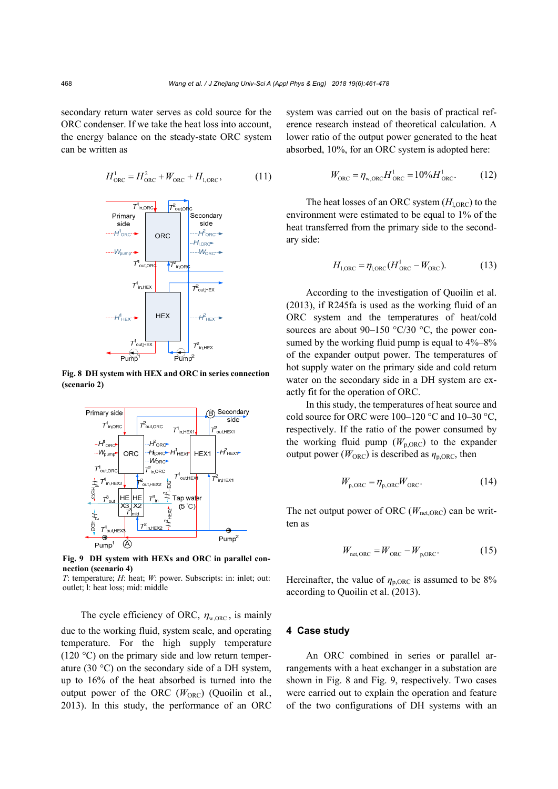secondary return water serves as cold source for the ORC condenser. If we take the heat loss into account, the energy balance on the steady-state ORC system can be written as

$$
H_{\text{ORC}}^1 = H_{\text{ORC}}^2 + W_{\text{ORC}} + H_{1,\text{ORC}},\tag{11}
$$



**Fig. 8 DH system with HEX and ORC in series connection (scenario 2)** 



**Fig. 9 DH system with HEXs and ORC in parallel connection (scenario 4)** 

*T*: temperature; *H*: heat; *W*: power. Subscripts: in: inlet; out: outlet; l: heat loss; mid: middle

The cycle efficiency of ORC,  $\eta_{\text{w,ORC}}$ , is mainly due to the working fluid, system scale, and operating temperature. For the high supply temperature  $(120 \degree C)$  on the primary side and low return temperature (30 °C) on the secondary side of a DH system, up to 16% of the heat absorbed is turned into the output power of the ORC  $(W_{ORC})$  (Quoilin et al., 2013). In this study, the performance of an ORC system was carried out on the basis of practical reference research instead of theoretical calculation. A lower ratio of the output power generated to the heat absorbed, 10%, for an ORC system is adopted here:

$$
W_{\text{ORC}} = \eta_{\text{w,ORC}} H_{\text{ORC}}^1 = 10\% H_{\text{ORC}}^1
$$
. (12)

The heat losses of an ORC system  $(H<sub>LORC</sub>)$  to the environment were estimated to be equal to 1% of the heat transferred from the primary side to the secondary side:

$$
H_{1, \text{ORC}} = \eta_{1, \text{ORC}} (H_{\text{ORC}}^1 - W_{\text{ORC}}).
$$
 (13)

According to the investigation of Quoilin et al. (2013), if R245fa is used as the working fluid of an ORC system and the temperatures of heat/cold sources are about 90–150  $\degree$ C/30  $\degree$ C, the power consumed by the working fluid pump is equal to  $4\%-8\%$ of the expander output power. The temperatures of hot supply water on the primary side and cold return water on the secondary side in a DH system are exactly fit for the operation of ORC.

In this study, the temperatures of heat source and cold source for ORC were 100–120 °C and 10–30 °C, respectively. If the ratio of the power consumed by the working fluid pump  $(W_{p,ORC})$  to the expander output power ( $W_{\text{ORC}}$ ) is described as  $\eta_{\text{p,ORC}}$ , then

$$
W_{\text{p,ORC}} = \eta_{\text{p,ORC}} W_{\text{ORC}}.
$$
 (14)

The net output power of ORC ( $W_{\text{net}ORC}$ ) can be written as

$$
W_{\text{net,ORC}} = W_{\text{ORC}} - W_{\text{p,ORC}}.\tag{15}
$$

Hereinafter, the value of  $\eta_{\text{p,ORC}}$  is assumed to be 8% according to Quoilin et al. (2013).

# **4 Case study**

An ORC combined in series or parallel arrangements with a heat exchanger in a substation are shown in Fig. 8 and Fig. 9, respectively. Two cases were carried out to explain the operation and feature of the two configurations of DH systems with an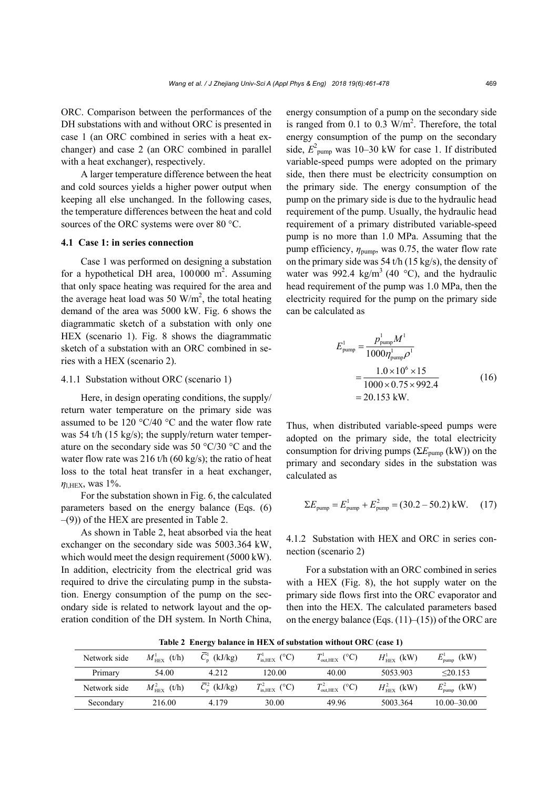ORC. Comparison between the performances of the DH substations with and without ORC is presented in case 1 (an ORC combined in series with a heat exchanger) and case 2 (an ORC combined in parallel with a heat exchanger), respectively.

A larger temperature difference between the heat and cold sources yields a higher power output when keeping all else unchanged. In the following cases, the temperature differences between the heat and cold sources of the ORC systems were over 80 °C.

# **4.1 Case 1: in series connection**

Case 1 was performed on designing a substation for a hypothetical DH area,  $100000 \text{ m}^2$ . Assuming that only space heating was required for the area and the average heat load was 50  $W/m^2$ , the total heating demand of the area was 5000 kW. Fig. 6 shows the diagrammatic sketch of a substation with only one HEX (scenario 1). Fig. 8 shows the diagrammatic sketch of a substation with an ORC combined in series with a HEX (scenario 2).

# 4.1.1 Substation without ORC (scenario 1)

Here, in design operating conditions, the supply/ return water temperature on the primary side was assumed to be 120 °C/40 °C and the water flow rate was 54 t/h (15 kg/s); the supply/return water temperature on the secondary side was 50 °C/30 °C and the water flow rate was 216 t/h  $(60 \text{ kg/s})$ ; the ratio of heat loss to the total heat transfer in a heat exchanger, *η*l,HEX, was 1%.

For the substation shown in Fig. 6, the calculated parameters based on the energy balance (Eqs. (6) –(9)) of the HEX are presented in Table 2.

As shown in Table 2, heat absorbed via the heat exchanger on the secondary side was 5003.364 kW, which would meet the design requirement (5000 kW). In addition, electricity from the electrical grid was required to drive the circulating pump in the substation. Energy consumption of the pump on the secondary side is related to network layout and the operation condition of the DH system. In North China,

energy consumption of a pump on the secondary side is ranged from  $0.1$  to  $0.3$  W/m<sup>2</sup>. Therefore, the total energy consumption of the pump on the secondary side,  $E_{\text{pump}}^2$  was 10–30 kW for case 1. If distributed variable-speed pumps were adopted on the primary side, then there must be electricity consumption on the primary side. The energy consumption of the pump on the primary side is due to the hydraulic head requirement of the pump. Usually, the hydraulic head requirement of a primary distributed variable-speed pump is no more than 1.0 MPa. Assuming that the pump efficiency, *η*pump, was 0.75, the water flow rate on the primary side was 54 t/h (15 kg/s), the density of water was 992.4 kg/m<sup>3</sup> (40 °C), and the hydraulic head requirement of the pump was 1.0 MPa, then the electricity required for the pump on the primary side can be calculated as

$$
E_{\text{pump}}^1 = \frac{p_{\text{pump}}^1 M^1}{1000 \eta_{\text{pump}}^1 \rho^1}
$$
  
= 
$$
\frac{1.0 \times 10^6 \times 15}{1000 \times 0.75 \times 992.4}
$$
 (16)  
= 20.153 kW.

Thus, when distributed variable-speed pumps were adopted on the primary side, the total electricity consumption for driving pumps (Σ*E*pump (kW)) on the primary and secondary sides in the substation was calculated as

$$
\Sigma E_{\text{pump}} = E_{\text{pump}}^1 + E_{\text{pump}}^2 = (30.2 - 50.2) \text{ kW.} \quad (17)
$$

4.1.2 Substation with HEX and ORC in series connection (scenario 2)

For a substation with an ORC combined in series with a HEX (Fig. 8), the hot supply water on the primary side flows first into the ORC evaporator and then into the HEX. The calculated parameters based on the energy balance (Eqs.  $(11)$ – $(15)$ ) of the ORC are

**Table 2 Energy balance in HEX of substation without ORC (case 1)** 

| Network side | $M_{\rm HEX}^{1}$ (t/h) | $C_{\rm n}^{\rm l}$ (kJ/kg)      | $T_{\text{in,HEX}}^{1}$ (°C) | $T_{\text{out,HEX}}^{1}$ (°C) | $H_{\text{HEX}}^{1}$ (kW) | $E^{\scriptscriptstyle 1}_{\scriptscriptstyle \rm pump}$<br>(kW) |
|--------------|-------------------------|----------------------------------|------------------------------|-------------------------------|---------------------------|------------------------------------------------------------------|
| Primary      | 54.00                   | 4.212                            | 120.00                       | 40.00                         | 5053.903                  | $\leq$ 20.153                                                    |
| Network side | $M_{\rm HEX}^2$ (t/h)   | $\overline{C}_{\rm n}^2$ (kJ/kg) | $T_{\rm in, HEX}^2$ (°C)     | $T_{\text{out,HEX}}^2$ (°C)   | $H_{\text{HEX}}^2$ (kW)   | $E_{\rm pump}^2$<br>(kW)                                         |
| Secondary    | 216.00                  | 4 1 7 9                          | 30.00                        | 49.96                         | 5003.364                  | $10.00 - 30.00$                                                  |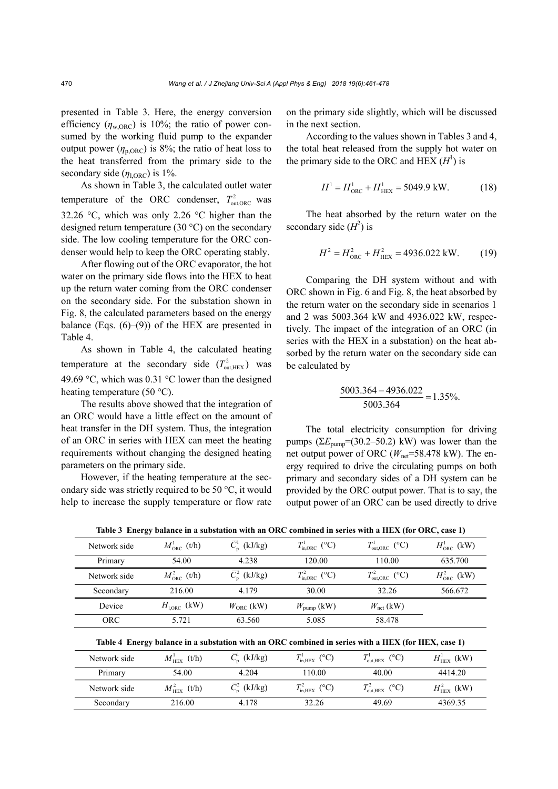presented in Table 3. Here, the energy conversion efficiency  $(\eta_{\text{w,ORC}})$  is 10%; the ratio of power consumed by the working fluid pump to the expander output power  $(\eta_{p,ORC})$  is 8%; the ratio of heat loss to the heat transferred from the primary side to the secondary side  $(\eta_{\text{LORC}})$  is 1%.

As shown in Table 3, the calculated outlet water temperature of the ORC condenser,  $T_{\text{out ORC}}^2$  was 32.26 °C, which was only 2.26 °C higher than the designed return temperature (30 °C) on the secondary side. The low cooling temperature for the ORC condenser would help to keep the ORC operating stably.

After flowing out of the ORC evaporator, the hot water on the primary side flows into the HEX to heat up the return water coming from the ORC condenser on the secondary side. For the substation shown in Fig. 8, the calculated parameters based on the energy balance (Eqs.  $(6)$ – $(9)$ ) of the HEX are presented in Table 4.

As shown in Table 4, the calculated heating temperature at the secondary side  $(T_{\text{out,HEX}}^2)$  was 49.69 °C, which was 0.31 °C lower than the designed heating temperature (50  $^{\circ}$ C).

The results above showed that the integration of an ORC would have a little effect on the amount of heat transfer in the DH system. Thus, the integration of an ORC in series with HEX can meet the heating requirements without changing the designed heating parameters on the primary side.

However, if the heating temperature at the secondary side was strictly required to be 50 °C, it would help to increase the supply temperature or flow rate on the primary side slightly, which will be discussed in the next section.

According to the values shown in Tables 3 and 4, the total heat released from the supply hot water on the primary side to the ORC and HEX  $(H<sup>1</sup>)$  is

$$
H^1 = H^1_{\text{ORC}} + H^1_{\text{HEX}} = 5049.9 \text{ kW.}
$$
 (18)

The heat absorbed by the return water on the secondary side  $(H^2)$  is

$$
H^2 = H_{\text{ORC}}^2 + H_{\text{HEX}}^2 = 4936.022 \text{ kW.}
$$
 (19)

Comparing the DH system without and with ORC shown in Fig. 6 and Fig. 8, the heat absorbed by the return water on the secondary side in scenarios 1 and 2 was 5003.364 kW and 4936.022 kW, respectively. The impact of the integration of an ORC (in series with the HEX in a substation) on the heat absorbed by the return water on the secondary side can be calculated by

$$
\frac{5003.364 - 4936.022}{5003.364} = 1.35\%.
$$

The total electricity consumption for driving pumps  $(\Sigma E_{\text{pump}} = (30.2 - 50.2) \text{ kW})$  was lower than the net output power of ORC ( $W_{\text{net}}$ =58.478 kW). The energy required to drive the circulating pumps on both primary and secondary sides of a DH system can be provided by the ORC output power. That is to say, the output power of an ORC can be used directly to drive

| Network side | $M_{\rm ORC}^1$ (t/h)  | $\overline{C}_{p}^{1}$ (kJ/kg) | $T_{\text{in,ORC}}^1$ (°C) | $T^1_{\text{out,ORC}}$ (°C) | $H^1_{ORC}$ (kW) |
|--------------|------------------------|--------------------------------|----------------------------|-----------------------------|------------------|
| Primary      | 54.00                  | 4.238                          | 120.00                     | 110.00                      | 635.700          |
| Network side | $M_{\rm ORC}^2$ (t/h)  | $\overline{C}_n^2$ (kJ/kg)     | $T_{\rm in, ORC}^2$ (°C)   | $T_{\text{out,ORC}}^2$ (°C) | $H_{ORC}^2$ (kW) |
| Secondary    | 216.00                 | 4.179                          | 30.00                      | 32.26                       | 566.672          |
| Device       | $H_{\text{LORC}}$ (kW) | $W_{ORC}$ (kW)                 | $W_{\text{pump}}$ (kW)     | $W_{\text{net}}$ (kW)       |                  |
| <b>ORC</b>   | 5.721                  | 63.560                         | 5.085                      | 58.478                      |                  |

**Table 3 Energy balance in a substation with an ORC combined in series with a HEX (for ORC, case 1)** 

| Network side | (t/h)<br>$\boldsymbol{M}_\text{HEX}^1$ | $\overline{C}_{\rm n}^1$ (kJ/kg) | $T_{\rm in, HEX}^{1}$ (°C)          | $I_{\text{out,HEX}}$ (°C)    | $H_{\text{HEX}}^{1}$ (kW) |
|--------------|----------------------------------------|----------------------------------|-------------------------------------|------------------------------|---------------------------|
| Primary      | 54.00                                  | 4.204                            | 110.00                              | 40.00                        | 4414.20                   |
| Network side | $M^2_{\rm HEX}$<br>(t/h)               | $\overline{C}_n^2$ (kJ/kg)       | $T^2$<br>$T_{\text{in,HEX}}^2$ (°C) | $T_{\text{out. HEX}}^2$ (°C) | $H_{\text{HEX}}^2$ (kW)   |
| Secondary    | 216.00                                 | 4.178                            | 32.26                               | 49.69                        | 4369.35                   |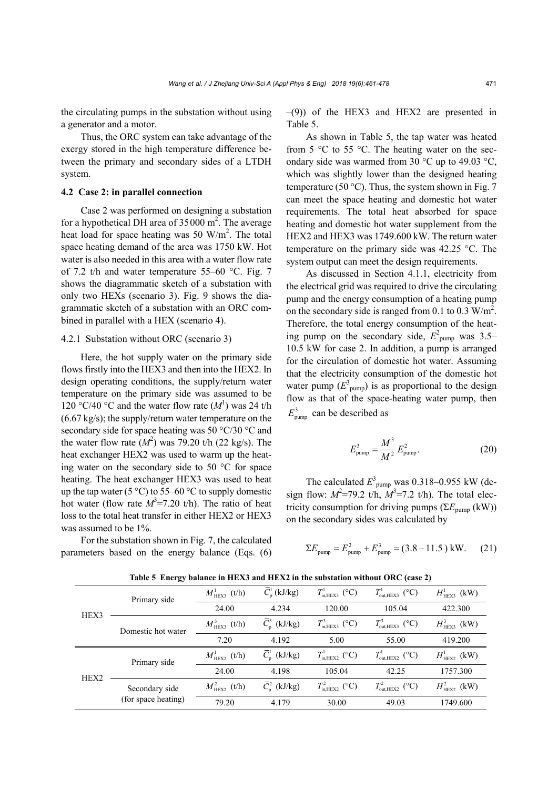the circulating pumps in the substation without using a generator and a motor.

Thus, the ORC system can take advantage of the exergy stored in the high temperature difference between the primary and secondary sides of a LTDH system.

# **4.2 Case 2: in parallel connection**

Case 2 was performed on designing a substation for a hypothetical DH area of  $35000 \text{ m}^2$ . The average heat load for space heating was 50  $W/m<sup>2</sup>$ . The total space heating demand of the area was 1750 kW. Hot water is also needed in this area with a water flow rate of 7.2 t/h and water temperature 55–60 °C. Fig. 7 shows the diagrammatic sketch of a substation with only two HEXs (scenario 3). Fig. 9 shows the diagrammatic sketch of a substation with an ORC combined in parallel with a HEX (scenario 4).

#### 4.2.1 Substation without ORC (scenario 3)

Here, the hot supply water on the primary side flows firstly into the HEX3 and then into the HEX2. In design operating conditions, the supply/return water temperature on the primary side was assumed to be 120 °C/40 °C and the water flow rate  $(M^1)$  was 24 t/h (6.67 kg/s); the supply/return water temperature on the secondary side for space heating was 50 °C/30 °C and the water flow rate  $(M^2)$  was 79.20 t/h (22 kg/s). The heat exchanger HEX2 was used to warm up the heating water on the secondary side to 50 °C for space heating. The heat exchanger HEX3 was used to heat up the tap water (5  $\degree$ C) to 55–60  $\degree$ C to supply domestic hot water (flow rate  $M^3$ =7.20 t/h). The ratio of heat loss to the total heat transfer in either HEX2 or HEX3 was assumed to be 1%.

For the substation shown in Fig. 7, the calculated parameters based on the energy balance (Eqs. (6)  $-(9)$ ) of the HEX3 and HEX2 are presented in Table 5.

As shown in Table 5, the tap water was heated from 5  $\degree$ C to 55  $\degree$ C. The heating water on the secondary side was warmed from 30 °C up to 49.03 °C, which was slightly lower than the designed heating temperature (50 °C). Thus, the system shown in Fig. 7 can meet the space heating and domestic hot water requirements. The total heat absorbed for space heating and domestic hot water supplement from the HEX2 and HEX3 was 1749.600 kW. The return water temperature on the primary side was 42.25 °C. The system output can meet the design requirements.

As discussed in Section 4.1.1, electricity from the electrical grid was required to drive the circulating pump and the energy consumption of a heating pump on the secondary side is ranged from 0.1 to 0.3  $W/m^2$ . Therefore, the total energy consumption of the heating pump on the secondary side,  $E_{\text{pump}}^2$  was 3.5– 10.5 kW for case 2. In addition, a pump is arranged for the circulation of domestic hot water. Assuming that the electricity consumption of the domestic hot water pump  $(E^3)_{\text{pump}}$  is as proportional to the design flow as that of the space-heating water pump, then  $E_{\text{num}}^3$  can be described as

$$
E_{\text{pump}}^3 = \frac{M^3}{M^2} E_{\text{pump}}^2.
$$
 (20)

The calculated  $E_{\text{pump}}^3$  was 0.318–0.955 kW (design flow:  $M^2 = 79.2$  t/h,  $M^3 = 7.2$  t/h). The total electricity consumption for driving pumps ( $\Sigma E_{\text{pump}}$  (kW)) on the secondary sides was calculated by

$$
\Sigma E_{\text{pump}} = E_{\text{pump}}^2 + E_{\text{pump}}^3 = (3.8 - 11.5) \text{ kW.}
$$
 (21)

|      | Primary side        | $M_{\text{HEX3}}^1$ (t/h) | $\overline{C}_{\rm n}^1$ (kJ/kg) | $T_{\text{in,HEX3}}^1$ (°C)    | $T^1_{\text{out,HEX3}}$ (°C) | $H^1_{\text{HEX3}}$ (kW) |
|------|---------------------|---------------------------|----------------------------------|--------------------------------|------------------------------|--------------------------|
| HEX3 |                     | 24.00                     | 4.234                            | 120.00                         | 105.04                       | 422.300                  |
|      | Domestic hot water  | $M_{\text{HEX3}}^3$ (t/h) | $\overline{C}_{\rm n}^3$ (kJ/kg) | $T_{\text{in,HEX3}}^3$ (°C)    | $T_{\text{out,HEX3}}^3$ (°C) | $H^3_{\text{HEX3}}$ (kW) |
|      |                     | 7.20                      | 4.192                            | 5.00                           | 55.00                        | 419.200                  |
|      | Primary side        | $M_{\rm HEX2}^1$ (t/h)    | $\overline{C}_{\rm n}^1$ (kJ/kg) | $T_{\text{in. HEX2}}^{1}$ (°C) | $T^1_{\text{out,HEX2}}$ (°C) | $H^1_{\text{HEX2}}$ (kW) |
| HEX2 |                     | 24.00                     | 4.198                            | 105.04                         | 42.25                        | 1757.300                 |
|      | Secondary side      | $M_{\text{HEX2}}^2$ (t/h) | $\overline{C}_n^2$ (kJ/kg)       | $T_{\text{in,HEX2}}^2$ (°C)    | $T_{\text{out,HEX2}}^2$ (°C) | $H^2_{\text{HEX2}}$ (kW) |
|      | (for space heating) | 79.20                     | 4.179                            | 30.00                          | 49.03                        | 1749.600                 |

**Table 5 Energy balance in HEX3 and HEX2 in the substation without ORC (case 2)**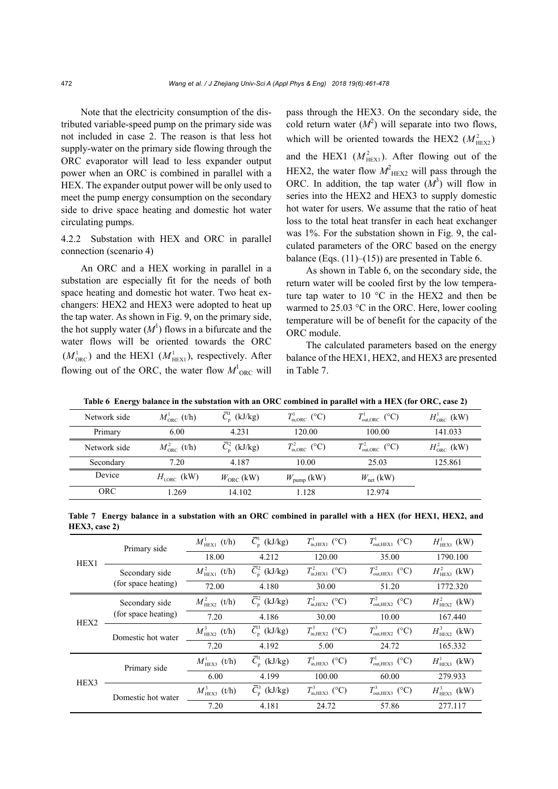Note that the electricity consumption of the distributed variable-speed pump on the primary side was not included in case 2. The reason is that less hot supply-water on the primary side flowing through the ORC evaporator will lead to less expander output power when an ORC is combined in parallel with a HEX. The expander output power will be only used to meet the pump energy consumption on the secondary side to drive space heating and domestic hot water circulating pumps.

# 4.2.2 Substation with HEX and ORC in parallel connection (scenario 4)

An ORC and a HEX working in parallel in a substation are especially fit for the needs of both space heating and domestic hot water. Two heat exchangers: HEX2 and HEX3 were adopted to heat up the tap water. As shown in Fig. 9, on the primary side, the hot supply water  $(M<sup>1</sup>)$  flows in a bifurcate and the water flows will be oriented towards the ORC  $(M_{\text{ORC}}^1)$  and the HEX1  $(M_{\text{HEX1}}^1)$ , respectively. After flowing out of the ORC, the water flow  $M<sup>1</sup>_{ORC}$  will pass through the HEX3. On the secondary side, the cold return water  $(M^2)$  will separate into two flows, which will be oriented towards the HEX2  $(M<sub>HEX2</sub><sup>2</sup>)$ and the HEX1  $(M<sub>HEX1</sub><sup>2</sup>)$ . After flowing out of the HEX2, the water flow  $M<sup>2</sup><sub>HEX2</sub>$  will pass through the ORC. In addition, the tap water  $(M^3)$  will flow in series into the HEX2 and HEX3 to supply domestic hot water for users. We assume that the ratio of heat loss to the total heat transfer in each heat exchanger was 1%. For the substation shown in Fig. 9, the calculated parameters of the ORC based on the energy balance (Eqs.  $(11)$ – $(15)$ ) are presented in Table 6.

As shown in Table 6, on the secondary side, the return water will be cooled first by the low temperature tap water to 10 °C in the HEX2 and then be warmed to 25.03 °C in the ORC. Here, lower cooling temperature will be of benefit for the capacity of the ORC module.

The calculated parameters based on the energy balance of the HEX1, HEX2, and HEX3 are presented in Table 7.

| Network side | $M_{\rm ORC}^{\rm L}$ (t/h) | $\overline{C}_{\rm n}^1$ (kJ/kg) | $T_{\text{in,ORC}}^1$ (°C) | $T_{\text{out,ORC}}^1$ (°C) | $H^1_{ORC}$ (kW) |
|--------------|-----------------------------|----------------------------------|----------------------------|-----------------------------|------------------|
| Primary      | 6.00                        | 4.231                            | 120.00                     | 100.00                      | 141.033          |
| Network side | $M_{\rm ORC}^2$ (t/h)       | $\overline{C}_{n}^{2}$ (kJ/kg)   | $T_{\text{in,ORC}}^2$ (°C) | $T_{\text{out,ORC}}^2$ (°C) | $H_{ORC}^2$ (kW) |
| Secondary    | 7.20                        | 4.187                            | 10.00                      | 25.03                       | 125.861          |
| Device       | $H_{\text{LORC}}$ (kW)      | $W_{ORC}$ (kW)                   | $W_{\text{pump}}$ (kW)     | $W_{\text{net}}$ (kW)       |                  |
| <b>ORC</b>   | .269                        | 14.102                           | 1.128                      | 12.974                      |                  |

**Table 6 Energy balance in the substation with an ORC combined in parallel with a HEX (for ORC, case 2)** 

**Table 7 Energy balance in a substation with an ORC combined in parallel with a HEX (for HEX1, HEX2, and HEX3, case 2)** 

|                             | Primary side        | $M_{\text{HEX1}}^1$ (t/h) | $\overline{C}_{\rm p}^1$ (kJ/kg) | $T_{\text{in. HEX1}}^{1}$ (°C) | $T^1_{\text{out,HEX1}}$ (°C)  | $H^1_{\text{HEX1}}$ (kW) |
|-----------------------------|---------------------|---------------------------|----------------------------------|--------------------------------|-------------------------------|--------------------------|
| HEX1                        |                     | 18.00                     | 4.212                            | 120.00                         | 35.00                         | 1790.100                 |
|                             | Secondary side      | $M_{\text{HEX1}}^2$ (t/h) | $\overline{C}_{n}^{2}$ (kJ/kg)   | $T_{\text{in. HEX1}}^2$ (°C)   | $T_{\text{out. HEX1}}^2$ (°C) | $H^2_{\text{HEX1}}$ (kW) |
|                             | (for space heating) | 72.00                     | 4.180                            | 30.00                          | 51.20                         | 1772.320                 |
| (for space heating)<br>HEX2 | Secondary side      | $M_{\text{HEX2}}^2$ (t/h) | $\overline{C}_{\rm n}^2$ (kJ/kg) | $T_{\text{in,HEX2}}^2$ (°C)    | $T_{\text{out,HEX2}}^2$ (°C)  | $H^2_{\text{HEX2}}$ (kW) |
|                             |                     | 7.20                      | 4.186                            | 30.00                          | 10.00                         | 167.440                  |
|                             | Domestic hot water  | $M_{\rm HEX2}^3$ (t/h)    | $\overline{C}_{p}^{3}$ (kJ/kg)   | $T_{\text{in,HEX2}}^3$ (°C)    | $T_{\text{out,HEX2}}^3$ (°C)  | $H^3_{\text{HEX2}}$ (kW) |
|                             |                     | 7.20                      | 4.192                            | 5.00                           | 24.72                         | 165.332                  |
|                             | Primary side        | $M_{\text{HEX3}}^1$ (t/h) | $\overline{C}_{\rm n}^1$ (kJ/kg) | $T_{\text{in. HEX3}}^1$ (°C)   | $T^1_{\text{out,HEX3}}$ (°C)  | $H^1_{\text{HEX3}}$ (kW) |
| HEX3                        |                     | 6.00                      | 4.199                            | 100.00                         | 60.00                         | 279.933                  |
|                             | Domestic hot water  | $M_{\text{HEX3}}^3$ (t/h) | $\overline{C}_{\rm n}^3$ (kJ/kg) | $T_{\text{in. HEX3}}^3$ (°C)   | $T^3_{\text{out,HEX3}}$ (°C)  | $H^3_{\text{HEX3}}$ (kW) |
|                             |                     | 7.20                      | 4.181                            | 24.72                          | 57.86                         | 277.117                  |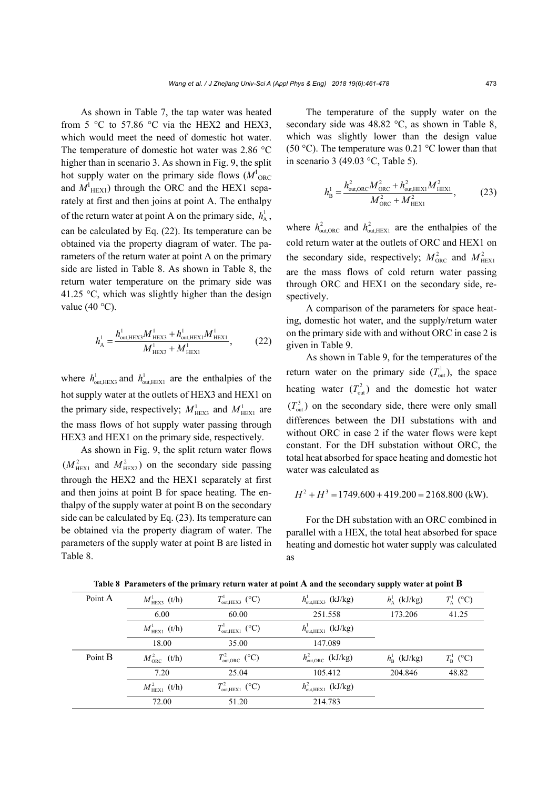As shown in Table 7, the tap water was heated from 5  $\degree$ C to 57.86  $\degree$ C via the HEX2 and HEX3, which would meet the need of domestic hot water. The temperature of domestic hot water was 2.86 °C higher than in scenario 3. As shown in Fig. 9, the split hot supply water on the primary side flows  $(M<sup>1</sup><sub>ORC</sub>$ and  $M<sup>1</sup><sub>HEX1</sub>$ ) through the ORC and the HEX1 separately at first and then joins at point A. The enthalpy of the return water at point A on the primary side,  $h_A^1$ , can be calculated by Eq. (22). Its temperature can be obtained via the property diagram of water. The parameters of the return water at point A on the primary side are listed in Table 8. As shown in Table 8, the return water temperature on the primary side was 41.25 °C, which was slightly higher than the design value  $(40 °C)$ .

$$
h_{\rm A}^1 = \frac{h_{\rm out,HEX3}^1 M_{\rm HEX3}^1 + h_{\rm out,HEX1}^1 M_{\rm HEX1}^1}{M_{\rm HEX3}^1 + M_{\rm HEX1}^1},\tag{22}
$$

where  $h_{\text{out,HEX3}}^1$  and  $h_{\text{out,HEX1}}^1$  are the enthalpies of the hot supply water at the outlets of HEX3 and HEX1 on the primary side, respectively;  $M_{\text{HEX3}}^1$  and  $M_{\text{HEX1}}^1$  are the mass flows of hot supply water passing through HEX3 and HEX1 on the primary side, respectively.

As shown in Fig. 9, the split return water flows  $(M<sub>HEX1</sub><sup>2</sup>$  and  $M<sub>HEX2</sub><sup>2</sup>$ ) on the secondary side passing through the HEX2 and the HEX1 separately at first and then joins at point B for space heating. The enthalpy of the supply water at point B on the secondary side can be calculated by Eq. (23). Its temperature can be obtained via the property diagram of water. The parameters of the supply water at point B are listed in Table 8.

The temperature of the supply water on the secondary side was 48.82 °C, as shown in Table 8, which was slightly lower than the design value (50 °C). The temperature was 0.21 °C lower than that in scenario 3 (49.03 °C, Table 5).

$$
h_{\rm B}^1 = \frac{h_{\rm out,ORC}^2 M_{\rm ORC}^2 + h_{\rm out,HEXI}^2 M_{\rm HEXI}^2}{M_{\rm ORC}^2 + M_{\rm HEXI}^2},\tag{23}
$$

where  $h_{\text{out,ORC}}^2$  and  $h_{\text{out,HEX1}}^2$  are the enthalpies of the cold return water at the outlets of ORC and HEX1 on the secondary side, respectively;  $M_{\text{ORC}}^2$  and  $M_{\text{HEXI}}^2$ are the mass flows of cold return water passing through ORC and HEX1 on the secondary side, respectively.

A comparison of the parameters for space heating, domestic hot water, and the supply/return water on the primary side with and without ORC in case 2 is given in Table 9.

As shown in Table 9, for the temperatures of the return water on the primary side  $(T<sub>out</sub><sup>1</sup>)$ , the space heating water  $(T_{out}^2)$  and the domestic hot water  $(T<sub>out</sub><sup>3</sup>)$  on the secondary side, there were only small differences between the DH substations with and without ORC in case 2 if the water flows were kept constant. For the DH substation without ORC, the total heat absorbed for space heating and domestic hot water was calculated as

$$
H^2 + H^3 = 1749.600 + 419.200 = 2168.800
$$
 (kW).

For the DH substation with an ORC combined in parallel with a HEX, the total heat absorbed for space heating and domestic hot water supply was calculated as

| Point A | $M_{\text{HEX3}}^1$ (t/h) | $T^1_{\text{out,HEX3}}$ (°C) | $h^{\text{l}}_{\text{out,HEX3}}$ (kJ/kg) | $h^{\mathrm{l}}_{\mathrm{A}}$ (kJ/kg) | $T^1_{\rm A}$ (°C) |
|---------|---------------------------|------------------------------|------------------------------------------|---------------------------------------|--------------------|
|         | 6.00                      | 60.00                        | 251.558                                  | 173.206                               | 41.25              |
|         | $M_{\text{HEX1}}^1$ (t/h) | $T^1_{\text{out,HEX1}}$ (°C) | $h^{\text{I}}_{\text{out,HEX1}}$ (kJ/kg) |                                       |                    |
|         | 18.00                     | 35.00                        | 147.089                                  |                                       |                    |
| Point B | $M_{\text{ORC}}^2$ (t/h)  | $T_{\text{out,ORC}}^2$ (°C)  | $h_{\text{out,ORC}}^2$ (kJ/kg)           | $h^{\mathrm{l}}_{\mathrm{B}}$ (kJ/kg) | $T_{\rm B}^1$ (°C) |
|         | 7.20                      | 25.04                        | 105.412                                  | 204.846                               | 48.82              |
|         | $M_{\text{HEX1}}^2$ (t/h) | $T_{\text{out,HEX1}}^2$ (°C) | $h_{\text{out,HEX1}}^2$ (kJ/kg)          |                                       |                    |
|         | 72.00                     | 51.20                        | 214.783                                  |                                       |                    |

**Table 8 Parameters of the primary return water at point A and the secondary supply water at point B**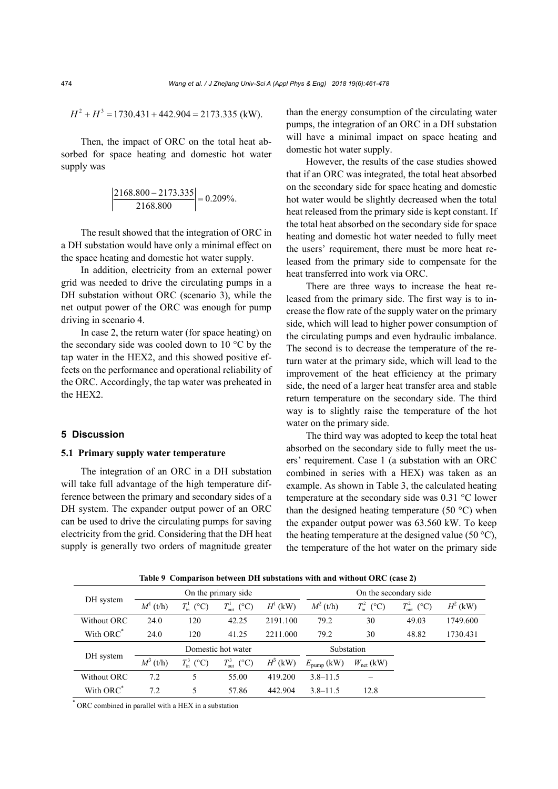$$
H^2 + H^3 = 1730.431 + 442.904 = 2173.335
$$
 (kW).

Then, the impact of ORC on the total heat absorbed for space heating and domestic hot water supply was

$$
\left| \frac{2168.800 - 2173.335}{2168.800} \right| = 0.209\%.
$$

The result showed that the integration of ORC in a DH substation would have only a minimal effect on the space heating and domestic hot water supply.

In addition, electricity from an external power grid was needed to drive the circulating pumps in a DH substation without ORC (scenario 3), while the net output power of the ORC was enough for pump driving in scenario 4.

In case 2, the return water (for space heating) on the secondary side was cooled down to 10 °C by the tap water in the HEX2, and this showed positive effects on the performance and operational reliability of the ORC. Accordingly, the tap water was preheated in the HEX2.

#### **5 Discussion**

#### **5.1 Primary supply water temperature**

The integration of an ORC in a DH substation will take full advantage of the high temperature difference between the primary and secondary sides of a DH system. The expander output power of an ORC can be used to drive the circulating pumps for saving electricity from the grid. Considering that the DH heat supply is generally two orders of magnitude greater than the energy consumption of the circulating water pumps, the integration of an ORC in a DH substation will have a minimal impact on space heating and domestic hot water supply.

However, the results of the case studies showed that if an ORC was integrated, the total heat absorbed on the secondary side for space heating and domestic hot water would be slightly decreased when the total heat released from the primary side is kept constant. If the total heat absorbed on the secondary side for space heating and domestic hot water needed to fully meet the users' requirement, there must be more heat released from the primary side to compensate for the heat transferred into work via ORC.

There are three ways to increase the heat released from the primary side. The first way is to increase the flow rate of the supply water on the primary side, which will lead to higher power consumption of the circulating pumps and even hydraulic imbalance. The second is to decrease the temperature of the return water at the primary side, which will lead to the improvement of the heat efficiency at the primary side, the need of a larger heat transfer area and stable return temperature on the secondary side. The third way is to slightly raise the temperature of the hot water on the primary side.

The third way was adopted to keep the total heat absorbed on the secondary side to fully meet the users' requirement. Case 1 (a substation with an ORC combined in series with a HEX) was taken as an example. As shown in Table 3, the calculated heating temperature at the secondary side was 0.31 °C lower than the designed heating temperature (50  $^{\circ}$ C) when the expander output power was 63.560 kW. To keep the heating temperature at the designed value (50  $^{\circ}$ C), the temperature of the hot water on the primary side

|                       | On the primary side. |                        |                                        | On the secondary side |                        |                                 |                                     |            |
|-----------------------|----------------------|------------------------|----------------------------------------|-----------------------|------------------------|---------------------------------|-------------------------------------|------------|
| DH system             | $M^1$ (t/h)          | $T_{\text{in}}^1$ (°C) | $T_{\rm out}^{\rm l}$<br>$(^{\circ}C)$ | $H^1$ (kW)            | $M^2$ (t/h)            | $T_{\rm in}^2$<br>$(^{\circ}C)$ | $T_{\text{out}}^2$<br>$(^{\circ}C)$ | $H^2$ (kW) |
| Without ORC           | 24.0                 | 120                    | 42.25                                  | 2191.100              | 79.2                   | 30                              | 49.03                               | 1749.600   |
| With ORC*             | 24.0                 | 120                    | 41.25                                  | 2211.000              | 79.2                   | 30                              | 48.82                               | 1730.431   |
|                       | Domestic hot water   |                        |                                        | Substation            |                        |                                 |                                     |            |
| DH system             | $M^3$ (t/h)          | $T_{\text{in}}^3$ (°C) | $T_{\rm out}^3$<br>$(^{\circ}C)$       | $H^3$ (kW)            | $E_{\text{pump}}$ (kW) | $W_{\text{net}}$ (kW)           |                                     |            |
| Without ORC           | 7.2                  | 5                      | 55.00                                  | 419.200               | $3.8 - 11.5$           |                                 |                                     |            |
| With ORC <sup>*</sup> | 7.2                  | 5                      | 57.86                                  | 442.904               | $3.8 - 11.5$           | 12.8                            |                                     |            |

**Table 9 Comparison between DH substations with and without ORC (case 2)** 

\* ORC combined in parallel with a HEX in a substation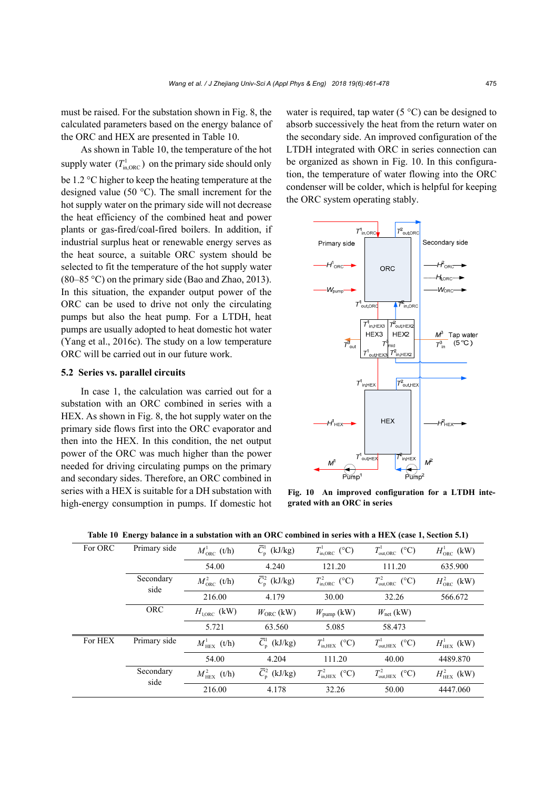must be raised. For the substation shown in Fig. 8, the calculated parameters based on the energy balance of the ORC and HEX are presented in Table 10.

As shown in Table 10, the temperature of the hot supply water  $(T_{\text{in,ORC}}^1)$  on the primary side should only be 1.2 °C higher to keep the heating temperature at the designed value (50 °C). The small increment for the hot supply water on the primary side will not decrease the heat efficiency of the combined heat and power plants or gas-fired/coal-fired boilers. In addition, if industrial surplus heat or renewable energy serves as the heat source, a suitable ORC system should be selected to fit the temperature of the hot supply water (80–85 °C) on the primary side (Bao and Zhao, 2013). In this situation, the expander output power of the ORC can be used to drive not only the circulating pumps but also the heat pump. For a LTDH, heat pumps are usually adopted to heat domestic hot water (Yang et al., 2016c). The study on a low temperature ORC will be carried out in our future work.

#### **5.2 Series vs. parallel circuits**

In case 1, the calculation was carried out for a substation with an ORC combined in series with a HEX. As shown in Fig. 8, the hot supply water on the primary side flows first into the ORC evaporator and then into the HEX. In this condition, the net output power of the ORC was much higher than the power needed for driving circulating pumps on the primary and secondary sides. Therefore, an ORC combined in series with a HEX is suitable for a DH substation with high-energy consumption in pumps. If domestic hot water is required, tap water ( $5^{\circ}$ C) can be designed to absorb successively the heat from the return water on the secondary side. An improved configuration of the LTDH integrated with ORC in series connection can be organized as shown in Fig. 10. In this configuration, the temperature of water flowing into the ORC condenser will be colder, which is helpful for keeping the ORC system operating stably.



**Fig. 10 An improved configuration for a LTDH integrated with an ORC in series** 

| For ORC | Primary side      | $M_{\text{ORC}}^1$ (t/h) | $\overline{C}_{p}^{1}$ (kJ/kg)   | $T_{\text{in,ORC}}^1$ (°C) | $T^1_{\text{out,ORC}}$ (°C) | $H^1_{ORC}$ (kW)          |
|---------|-------------------|--------------------------|----------------------------------|----------------------------|-----------------------------|---------------------------|
|         |                   | 54.00                    | 4.240                            | 121.20                     | 111.20                      | 635.900                   |
|         | Secondary<br>side | $M_{\rm ORC}^2$ (t/h)    | $\overline{C}_{\rm n}^2$ (kJ/kg) | $T_{\text{inORC}}^2$ (°C)  | $T_{\text{out,ORC}}^2$ (°C) | $H_{\text{ORC}}^2$ (kW)   |
|         |                   | 216.00                   | 4.179                            | 30.00                      | 32.26                       | 566.672                   |
|         | <b>ORC</b>        | $H_{LORC}$ (kW)          | $W_{ORC}$ (kW)                   | $W_{\text{pump}}$ (kW)     | $W_{\text{net}}$ (kW)       |                           |
|         |                   | 5.721                    | 63.560                           | 5.085                      | 58.473                      |                           |
| For HEX | Primary side      | $M_{\rm HEX}^1$ (t/h)    | $\overline{C}_{\rm n}^1$ (kJ/kg) | $T_{\text{in,HEX}}^1$ (°C) | $T^1_{\text{out,HEX}}$ (°C) | $H_{\text{HEX}}^{1}$ (kW) |
|         |                   | 54.00                    | 4.204                            | 111.20                     | 40.00                       | 4489.870                  |
|         | Secondary<br>side | $M_{\rm HEX}^2$ (t/h)    | $\overline{C}_{p}^{2}$ (kJ/kg)   | $T_{\text{in,HEX}}^2$ (°C) | $T_{\text{out,HEX}}^2$ (°C) | $H_{\text{HEX}}^2$ (kW)   |
|         |                   | 216.00                   | 4.178                            | 32.26                      | 50.00                       | 4447.060                  |

**Table 10 Energy balance in a substation with an ORC combined in series with a HEX (case 1, Section 5.1)**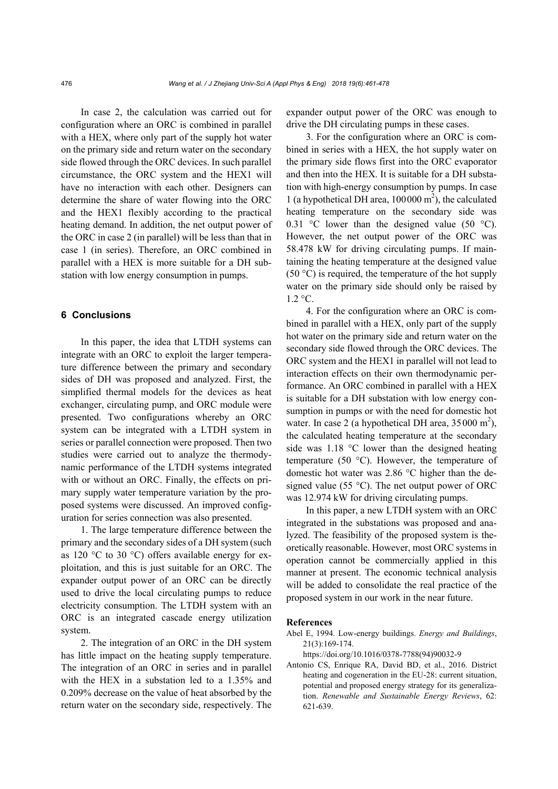In case 2, the calculation was carried out for configuration where an ORC is combined in parallel with a HEX, where only part of the supply hot water on the primary side and return water on the secondary side flowed through the ORC devices. In such parallel circumstance, the ORC system and the HEX1 will have no interaction with each other. Designers can determine the share of water flowing into the ORC and the HEX1 flexibly according to the practical heating demand. In addition, the net output power of the ORC in case 2 (in parallel) will be less than that in case 1 (in series). Therefore, an ORC combined in parallel with a HEX is more suitable for a DH substation with low energy consumption in pumps.

# **6 Conclusions**

In this paper, the idea that LTDH systems can integrate with an ORC to exploit the larger temperature difference between the primary and secondary sides of DH was proposed and analyzed. First, the simplified thermal models for the devices as heat exchanger, circulating pump, and ORC module were presented. Two configurations whereby an ORC system can be integrated with a LTDH system in series or parallel connection were proposed. Then two studies were carried out to analyze the thermodynamic performance of the LTDH systems integrated with or without an ORC. Finally, the effects on primary supply water temperature variation by the proposed systems were discussed. An improved configuration for series connection was also presented.

1. The large temperature difference between the primary and the secondary sides of a DH system (such as 120 °C to 30 °C) offers available energy for exploitation, and this is just suitable for an ORC. The expander output power of an ORC can be directly used to drive the local circulating pumps to reduce electricity consumption. The LTDH system with an ORC is an integrated cascade energy utilization system.

2. The integration of an ORC in the DH system has little impact on the heating supply temperature. The integration of an ORC in series and in parallel with the HEX in a substation led to a 1.35% and 0.209% decrease on the value of heat absorbed by the return water on the secondary side, respectively. The expander output power of the ORC was enough to drive the DH circulating pumps in these cases.

3. For the configuration where an ORC is combined in series with a HEX, the hot supply water on the primary side flows first into the ORC evaporator and then into the HEX. It is suitable for a DH substation with high-energy consumption by pumps. In case 1 (a hypothetical DH area,  $100000 \text{ m}^2$ ), the calculated heating temperature on the secondary side was 0.31 °C lower than the designed value (50 °C). However, the net output power of the ORC was 58.478 kW for driving circulating pumps. If maintaining the heating temperature at the designed value  $(50 \degree C)$  is required, the temperature of the hot supply water on the primary side should only be raised by  $1.2 \text{ °C}$ .

4. For the configuration where an ORC is combined in parallel with a HEX, only part of the supply hot water on the primary side and return water on the secondary side flowed through the ORC devices. The ORC system and the HEX1 in parallel will not lead to interaction effects on their own thermodynamic performance. An ORC combined in parallel with a HEX is suitable for a DH substation with low energy consumption in pumps or with the need for domestic hot water. In case 2 (a hypothetical DH area,  $35000 \text{ m}^2$ ), the calculated heating temperature at the secondary side was 1.18 °C lower than the designed heating temperature (50 °C). However, the temperature of domestic hot water was 2.86 °C higher than the designed value (55 °C). The net output power of ORC was 12.974 kW for driving circulating pumps.

In this paper, a new LTDH system with an ORC integrated in the substations was proposed and analyzed. The feasibility of the proposed system is theoretically reasonable. However, most ORC systems in operation cannot be commercially applied in this manner at present. The economic technical analysis will be added to consolidate the real practice of the proposed system in our work in the near future.

#### **References**

- Abel E, 1994. Low-energy buildings. *Energy and Buildings*, 21(3):169-174.
	- https://doi.org/10.1016/0378-7788(94)90032-9
- Antonio CS, Enrique RA, David BD, et al., 2016. District heating and cogeneration in the EU-28: current situation, potential and proposed energy strategy for its generalization. *Renewable and Sustainable Energy Reviews*, 62: 621-639.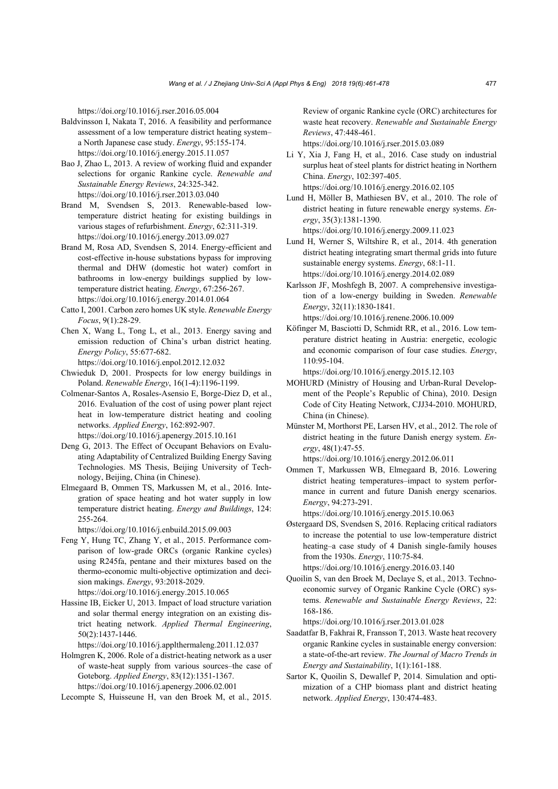https://doi.org/10.1016/j.rser.2016.05.004

- Baldvinsson I, Nakata T, 2016. A feasibility and performance assessment of a low temperature district heating system– a North Japanese case study. *Energy*, 95:155-174. https://doi.org/10.1016/j.energy.2015.11.057
- Bao J, Zhao L, 2013. A review of working fluid and expander selections for organic Rankine cycle. *Renewable and Sustainable Energy Reviews*, 24:325-342. https://doi.org/10.1016/j.rser.2013.03.040
- Brand M, Svendsen S, 2013. Renewable-based lowtemperature district heating for existing buildings in various stages of refurbishment. *Energy*, 62:311-319. https://doi.org/10.1016/j.energy.2013.09.027
- Brand M, Rosa AD, Svendsen S, 2014. Energy-efficient and cost-effective in-house substations bypass for improving thermal and DHW (domestic hot water) comfort in bathrooms in low-energy buildings supplied by lowtemperature district heating. *Energy*, 67:256-267. https://doi.org/10.1016/j.energy.2014.01.064
- Catto I, 2001. Carbon zero homes UK style. *Renewable Energy Focus*, 9(1):28-29.
- Chen X, Wang L, Tong L, et al., 2013. Energy saving and emission reduction of China's urban district heating. *Energy Policy*, 55:677-682.
	- https://doi.org/10.1016/j.enpol.2012.12.032
- Chwieduk D, 2001. Prospects for low energy buildings in Poland. *Renewable Energy*, 16(1-4):1196-1199.
- Colmenar-Santos A, Rosales-Asensio E, Borge-Diez D, et al., 2016. Evaluation of the cost of using power plant reject heat in low-temperature district heating and cooling networks. *Applied Energy*, 162:892-907. https://doi.org/10.1016/j.apenergy.2015.10.161
- Deng G, 2013. The Effect of Occupant Behaviors on Evaluating Adaptability of Centralized Building Energy Saving Technologies. MS Thesis, Beijing University of Technology, Beijing, China (in Chinese).
- Elmegaard B, Ommen TS, Markussen M, et al., 2016. Integration of space heating and hot water supply in low temperature district heating. *Energy and Buildings*, 124: 255-264.

https://doi.org/10.1016/j.enbuild.2015.09.003

- Feng Y, Hung TC, Zhang Y, et al., 2015. Performance comparison of low-grade ORCs (organic Rankine cycles) using R245fa, pentane and their mixtures based on the thermo-economic multi-objective optimization and decision makings. *Energy*, 93:2018-2029. https://doi.org/10.1016/j.energy.2015.10.065
- Hassine IB, Eicker U, 2013. Impact of load structure variation and solar thermal energy integration on an existing district heating network. *Applied Thermal Engineering*, 50(2):1437-1446.

https://doi.org/10.1016/j.applthermaleng.2011.12.037

Holmgren K, 2006. Role of a district-heating network as a user of waste-heat supply from various sources–the case of Goteborg. *Applied Energy*, 83(12):1351-1367. https://doi.org/10.1016/j.apenergy.2006.02.001

Lecompte S, Huisseune H, van den Broek M, et al., 2015.

Review of organic Rankine cycle (ORC) architectures for waste heat recovery. *Renewable and Sustainable Energy Reviews*, 47:448-461.

https://doi.org/10.1016/j.rser.2015.03.089

- Li Y, Xia J, Fang H, et al., 2016. Case study on industrial surplus heat of steel plants for district heating in Northern China. *Energy*, 102:397-405. https://doi.org/10.1016/j.energy.2016.02.105
- Lund H, Möller B, Mathiesen BV, et al., 2010. The role of district heating in future renewable energy systems. *Energy*, 35(3):1381-1390.

https://doi.org/10.1016/j.energy.2009.11.023

- Lund H, Werner S, Wiltshire R, et al., 2014. 4th generation district heating integrating smart thermal grids into future sustainable energy systems. *Energy*, 68:1-11. https://doi.org/10.1016/j.energy.2014.02.089
- Karlsson JF, Moshfegh B, 2007. A comprehensive investigation of a low-energy building in Sweden. *Renewable Energy*, 32(11):1830-1841. https://doi.org/10.1016/j.renene.2006.10.009
- Köfinger M, Basciotti D, Schmidt RR, et al., 2016. Low temperature district heating in Austria: energetic, ecologic and economic comparison of four case studies. *Energy*, 110:95-104.

https://doi.org/10.1016/j.energy.2015.12.103

- MOHURD (Ministry of Housing and Urban-Rural Development of the People's Republic of China), 2010. Design Code of City Heating Network, CJJ34-2010. MOHURD, China (in Chinese).
- Münster M, Morthorst PE, Larsen HV, et al., 2012. The role of district heating in the future Danish energy system. *Energy*, 48(1):47-55.

https://doi.org/10.1016/j.energy.2012.06.011

Ommen T, Markussen WB, Elmegaard B, 2016. Lowering district heating temperatures–impact to system performance in current and future Danish energy scenarios. *Energy*, 94:273-291.

https://doi.org/10.1016/j.energy.2015.10.063

Østergaard DS, Svendsen S, 2016. Replacing critical radiators to increase the potential to use low-temperature district heating–a case study of 4 Danish single-family houses from the 1930s. *Energy*, 110:75-84.

 https://doi.org/10.1016/j.energy.2016.03.140 Quoilin S, van den Broek M, Declaye S, et al., 2013. Techno-

economic survey of Organic Rankine Cycle (ORC) systems. *Renewable and Sustainable Energy Reviews*, 22: 168-186.

https://doi.org/10.1016/j.rser.2013.01.028

- Saadatfar B, Fakhrai R, Fransson T, 2013. Waste heat recovery organic Rankine cycles in sustainable energy conversion: a state-of-the-art review. *The Journal of Macro Trends in Energy and Sustainability*, 1(1):161-188.
- Sartor K, Quoilin S, Dewallef P, 2014. Simulation and optimization of a CHP biomass plant and district heating network. *Applied Energy*, 130:474-483.